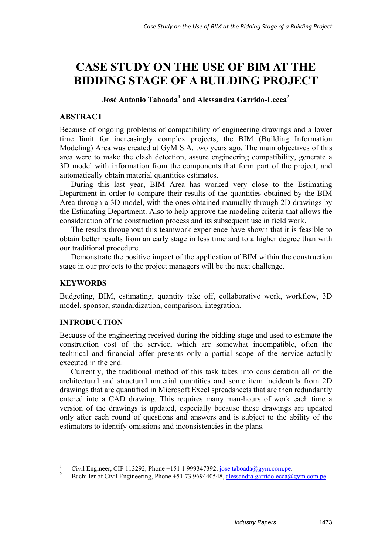# **CASE STUDY ON THE USE OF BIM AT THE BIDDING STAGE OF A BUILDING PROJECT**

**José Antonio Taboada<sup>1</sup> and Alessandra Garrido-Lecca<sup>2</sup>**

# **ABSTRACT**

Because of ongoing problems of compatibility of engineering drawings and a lower time limit for increasingly complex projects, the BIM (Building Information Modeling) Area was created at GyM S.A. two years ago. The main objectives of this area were to make the clash detection, assure engineering compatibility, generate a 3D model with information from the components that form part of the project, and automatically obtain material quantities estimates.

During this last year, BIM Area has worked very close to the Estimating Department in order to compare their results of the quantities obtained by the BIM Area through a 3D model, with the ones obtained manually through 2D drawings by the Estimating Department. Also to help approve the modeling criteria that allows the consideration of the construction process and its subsequent use in field work.

The results throughout this teamwork experience have shown that it is feasible to obtain better results from an early stage in less time and to a higher degree than with our traditional procedure.

Demonstrate the positive impact of the application of BIM within the construction stage in our projects to the project managers will be the next challenge.

# **KEYWORDS**

Budgeting, BIM, estimating, quantity take off, collaborative work, workflow, 3D model, sponsor, standardization, comparison, integration.

# **INTRODUCTION**

Because of the engineering received during the bidding stage and used to estimate the construction cost of the service, which are somewhat incompatible, often the technical and financial offer presents only a partial scope of the service actually executed in the end.

Currently, the traditional method of this task takes into consideration all of the architectural and structural material quantities and some item incidentals from 2D drawings that are quantified in Microsoft Excel spreadsheets that are then redundantly entered into a CAD drawing. This requires many man-hours of work each time a version of the drawings is updated, especially because these drawings are updated only after each round of questions and answers and is subject to the ability of the estimators to identify omissions and inconsistencies in the plans.

 $\frac{1}{1}$ <sup>1</sup> Civil Engineer, CIP 113292, Phone +151 1 999347392, <u>jose.taboada@gym.com.pe.</u> <sup>2</sup> Partillar of Giril Engineering Phone (51.72.060440549, classes the semidatory C

Bachiller of Civil Engineering, Phone +51 73 969440548, alessandra.garridolecca@gym.com.pe.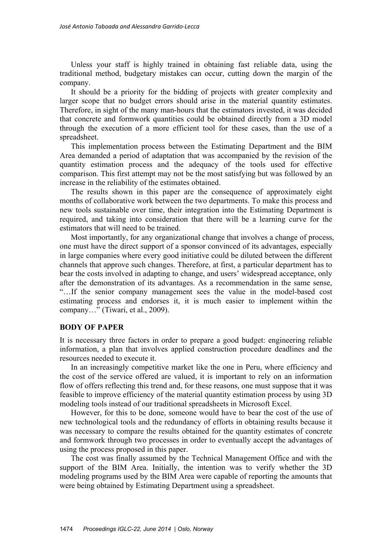Unless your staff is highly trained in obtaining fast reliable data, using the traditional method, budgetary mistakes can occur, cutting down the margin of the company.

It should be a priority for the bidding of projects with greater complexity and larger scope that no budget errors should arise in the material quantity estimates. Therefore, in sight of the many man-hours that the estimators invested, it was decided that concrete and formwork quantities could be obtained directly from a 3D model through the execution of a more efficient tool for these cases, than the use of a spreadsheet.

This implementation process between the Estimating Department and the BIM Area demanded a period of adaptation that was accompanied by the revision of the quantity estimation process and the adequacy of the tools used for effective comparison. This first attempt may not be the most satisfying but was followed by an increase in the reliability of the estimates obtained.

The results shown in this paper are the consequence of approximately eight months of collaborative work between the two departments. To make this process and new tools sustainable over time, their integration into the Estimating Department is required, and taking into consideration that there will be a learning curve for the estimators that will need to be trained.

Most importantly, for any organizational change that involves a change of process, one must have the direct support of a sponsor convinced of its advantages, especially in large companies where every good initiative could be diluted between the different channels that approve such changes. Therefore, at first, a particular department has to bear the costs involved in adapting to change, and users' widespread acceptance, only after the demonstration of its advantages. As a recommendation in the same sense, "…If the senior company management sees the value in the model-based cost estimating process and endorses it, it is much easier to implement within the company…" (Tiwari, et al., 2009).

#### **BODY OF PAPER**

It is necessary three factors in order to prepare a good budget: engineering reliable information, a plan that involves applied construction procedure deadlines and the resources needed to execute it.

In an increasingly competitive market like the one in Peru, where efficiency and the cost of the service offered are valued, it is important to rely on an information flow of offers reflecting this trend and, for these reasons, one must suppose that it was feasible to improve efficiency of the material quantity estimation process by using 3D modeling tools instead of our traditional spreadsheets in Microsoft Excel.

However, for this to be done, someone would have to bear the cost of the use of new technological tools and the redundancy of efforts in obtaining results because it was necessary to compare the results obtained for the quantity estimates of concrete and formwork through two processes in order to eventually accept the advantages of using the process proposed in this paper.

The cost was finally assumed by the Technical Management Office and with the support of the BIM Area. Initially, the intention was to verify whether the 3D modeling programs used by the BIM Area were capable of reporting the amounts that were being obtained by Estimating Department using a spreadsheet.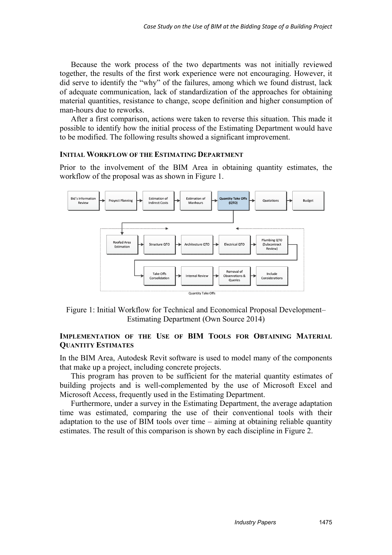Because the work process of the two departments was not initially reviewed together, the results of the first work experience were not encouraging. However, it did serve to identify the "why" of the failures, among which we found distrust, lack of adequate communication, lack of standardization of the approaches for obtaining material quantities, resistance to change, scope definition and higher consumption of man-hours due to reworks.

After a first comparison, actions were taken to reverse this situation. This made it possible to identify how the initial process of the Estimating Department would have to be modified. The following results showed a significant improvement.

#### **INITIAL WORKFLOW OF THE ESTIMATING DEPARTMENT**

Prior to the involvement of the BIM Area in obtaining quantity estimates, the workflow of the proposal was as shown in Figure 1.



Figure 1: Initial Workflow for Technical and Economical Proposal Development– Estimating Department (Own Source 2014)

## **IMPLEMENTATION OF THE USE OF BIM TOOLS FOR OBTAINING MATERIAL QUANTITY ESTIMATES**

In the BIM Area, Autodesk Revit software is used to model many of the components that make up a project, including concrete projects.

This program has proven to be sufficient for the material quantity estimates of building projects and is well-complemented by the use of Microsoft Excel and Microsoft Access, frequently used in the Estimating Department.

Furthermore, under a survey in the Estimating Department, the average adaptation time was estimated, comparing the use of their conventional tools with their adaptation to the use of BIM tools over time – aiming at obtaining reliable quantity estimates. The result of this comparison is shown by each discipline in Figure 2.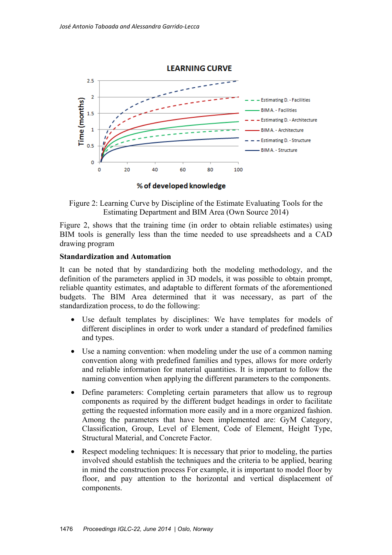

% of developed knowledge

Figure 2: Learning Curve by Discipline of the Estimate Evaluating Tools for the Estimating Department and BIM Area (Own Source 2014)

Figure 2, shows that the training time (in order to obtain reliable estimates) using BIM tools is generally less than the time needed to use spreadsheets and a CAD drawing program

#### **Standardization and Automation**

It can be noted that by standardizing both the modeling methodology, and the definition of the parameters applied in 3D models, it was possible to obtain prompt, reliable quantity estimates, and adaptable to different formats of the aforementioned budgets. The BIM Area determined that it was necessary, as part of the standardization process, to do the following:

- Use default templates by disciplines: We have templates for models of different disciplines in order to work under a standard of predefined families and types.
- Use a naming convention: when modeling under the use of a common naming convention along with predefined families and types, allows for more orderly and reliable information for material quantities. It is important to follow the naming convention when applying the different parameters to the components.
- Define parameters: Completing certain parameters that allow us to regroup components as required by the different budget headings in order to facilitate getting the requested information more easily and in a more organized fashion. Among the parameters that have been implemented are: GyM Category, Classification, Group, Level of Element, Code of Element, Height Type, Structural Material, and Concrete Factor.
- Respect modeling techniques: It is necessary that prior to modeling, the parties involved should establish the techniques and the criteria to be applied, bearing in mind the construction process For example, it is important to model floor by floor, and pay attention to the horizontal and vertical displacement of components.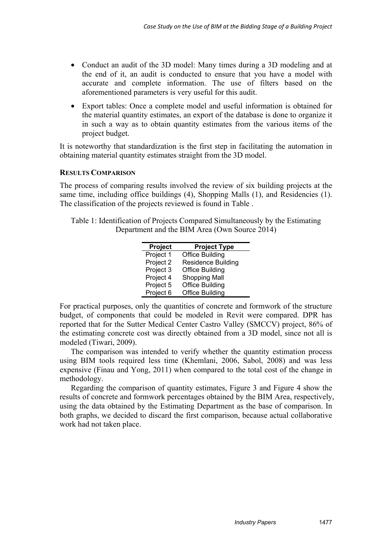- Conduct an audit of the 3D model: Many times during a 3D modeling and at the end of it, an audit is conducted to ensure that you have a model with accurate and complete information. The use of filters based on the aforementioned parameters is very useful for this audit.
- Export tables: Once a complete model and useful information is obtained for the material quantity estimates, an export of the database is done to organize it in such a way as to obtain quantity estimates from the various items of the project budget.

It is noteworthy that standardization is the first step in facilitating the automation in obtaining material quantity estimates straight from the 3D model.

#### **RESULTS COMPARISON**

The process of comparing results involved the review of six building projects at the same time, including office buildings (4), Shopping Malls (1), and Residencies (1). The classification of the projects reviewed is found in Table .

Table 1: Identification of Projects Compared Simultaneously by the Estimating Department and the BIM Area (Own Source 2014)

| Project   | <b>Project Type</b>       |
|-----------|---------------------------|
| Project 1 | <b>Office Building</b>    |
| Project 2 | <b>Residence Building</b> |
| Project 3 | <b>Office Building</b>    |
| Project 4 | <b>Shopping Mall</b>      |
| Project 5 | <b>Office Building</b>    |
| Project 6 | <b>Office Building</b>    |

For practical purposes, only the quantities of concrete and formwork of the structure budget, of components that could be modeled in Revit were compared. DPR has reported that for the Sutter Medical Center Castro Valley (SMCCV) project, 86% of the estimating concrete cost was directly obtained from a 3D model, since not all is modeled (Tiwari, 2009).

The comparison was intended to verify whether the quantity estimation process using BIM tools required less time (Khemlani, 2006, Sabol, 2008) and was less expensive (Finau and Yong, 2011) when compared to the total cost of the change in methodology.

Regarding the comparison of quantity estimates, Figure 3 and Figure 4 show the results of concrete and formwork percentages obtained by the BIM Area, respectively, using the data obtained by the Estimating Department as the base of comparison. In both graphs, we decided to discard the first comparison, because actual collaborative work had not taken place.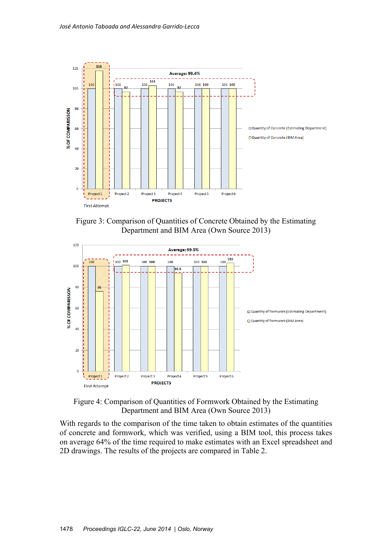

Figure 3: Comparison of Quantities of Concrete Obtained by the Estimating Department and BIM Area (Own Source 2013)





With regards to the comparison of the time taken to obtain estimates of the quantities of concrete and formwork, which was verified, using a BIM tool, this process takes on average 64% of the time required to make estimates with an Excel spreadsheet and 2D drawings. The results of the projects are compared in Table 2.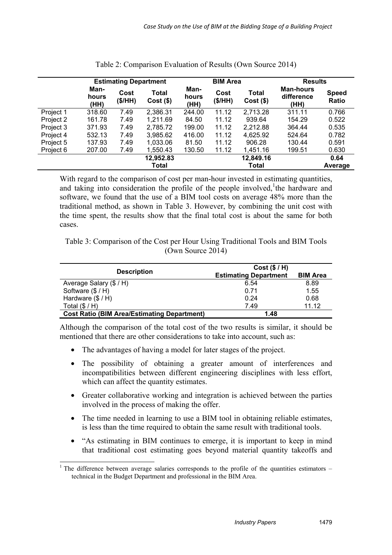|           | <b>Estimating Department</b> |                |                             | <b>BIM Area</b>       |                 |                      | <b>Results</b>                         |                       |
|-----------|------------------------------|----------------|-----------------------------|-----------------------|-----------------|----------------------|----------------------------------------|-----------------------|
|           | Man-<br>hours<br>(HH)        | Cost<br>(S/HH) | <b>Total</b><br>$Cost($ \$) | Man-<br>hours<br>(HH) | Cost<br>(\$/HH) | Total<br>$Cost($ \$) | <b>Man-hours</b><br>difference<br>(HH) | <b>Speed</b><br>Ratio |
| Project 1 | 318.60                       | 7.49           | 2,386.31                    | 244.00                | 11.12           | 2,713.28             | 311.11                                 | 0.766                 |
| Project 2 | 161.78                       | 7.49           | 1,211.69                    | 84.50                 | 11.12           | 939.64               | 154.29                                 | 0.522                 |
| Project 3 | 371.93                       | 7.49           | 2,785.72                    | 199.00                | 11.12           | 2,212.88             | 364.44                                 | 0.535                 |
| Project 4 | 532.13                       | 7.49           | 3,985.62                    | 416.00                | 11.12           | 4,625.92             | 524.64                                 | 0.782                 |
| Project 5 | 137.93                       | 7.49           | 1,033.06                    | 81.50                 | 11.12           | 906.28               | 130.44                                 | 0.591                 |
| Project 6 | 207.00                       | 7.49           | 1,550.43                    | 130.50                | 11.12           | 1,451.16             | 199.51                                 | 0.630                 |
|           |                              |                | 12,952.83                   |                       |                 | 12,849.16            |                                        | 0.64                  |
|           |                              |                | Total                       |                       |                 | Total                |                                        | Average               |

| Table 2: Comparison Evaluation of Results (Own Source 2014) |  |
|-------------------------------------------------------------|--|
|-------------------------------------------------------------|--|

With regard to the comparison of cost per man-hour invested in estimating quantities, and taking into consideration the profile of the people involved, the hardware and software, we found that the use of a BIM tool costs on average 48% more than the traditional method, as shown in Table 3. However, by combining the unit cost with the time spent, the results show that the final total cost is about the same for both cases.

Table 3: Comparison of the Cost per Hour Using Traditional Tools and BIM Tools (Own Source 2014)

|                                                    | Cost ( \$ / H )              |                 |  |
|----------------------------------------------------|------------------------------|-----------------|--|
| <b>Description</b>                                 | <b>Estimating Department</b> | <b>BIM Area</b> |  |
| Average Salary (\$ / H)                            | 6.54                         | 8.89            |  |
| Software $(\frac{6}{5} / H)$                       | 0.71                         | 1.55            |  |
| Hardware $(\frac{6}{5} / H)$                       | 0.24                         | 0.68            |  |
| Total $(\$/H)$                                     | 7.49                         | 11.12           |  |
| <b>Cost Ratio (BIM Area/Estimating Department)</b> | 1.48                         |                 |  |

Although the comparison of the total cost of the two results is similar, it should be mentioned that there are other considerations to take into account, such as:

- The advantages of having a model for later stages of the project.
- The possibility of obtaining a greater amount of interferences and incompatibilities between different engineering disciplines with less effort, which can affect the quantity estimates.
- Greater collaborative working and integration is achieved between the parties involved in the process of making the offer.
- The time needed in learning to use a BIM tool in obtaining reliable estimates, is less than the time required to obtain the same result with traditional tools.
- "As estimating in BIM continues to emerge, it is important to keep in mind that traditional cost estimating goes beyond material quantity takeoffs and

-

<sup>&</sup>lt;sup>1</sup> The difference between average salaries corresponds to the profile of the quantities estimators  $$ technical in the Budget Department and professional in the BIM Area.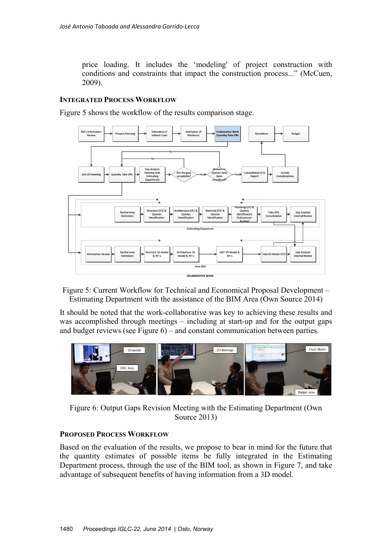price loading. It includes the 'modeling' of project construction with conditions and constraints that impact the construction process..." (McCuen, 2009).

## **INTEGRATED PROCESS WORKFLOW**

Figure 5 shows the workflow of the results comparison stage.



Figure 5: Current Workflow for Technical and Economical Proposal Development – Estimating Department with the assistance of the BIM Area (Own Source 2014)

It should be noted that the work-collaborative was key to achieving these results and was accomplished through meetings – including at start-up and for the output gaps and budget reviews (see Figure 6) – and constant communication between parties.



Figure 6: Output Gaps Revision Meeting with the Estimating Department (Own Source 2013)

#### **PROPOSED PROCESS WORKFLOW**

Based on the evaluation of the results, we propose to bear in mind for the future that the quantity estimates of possible items be fully integrated in the Estimating Department process, through the use of the BIM tool, as shown in Figure 7, and take advantage of subsequent benefits of having information from a 3D model.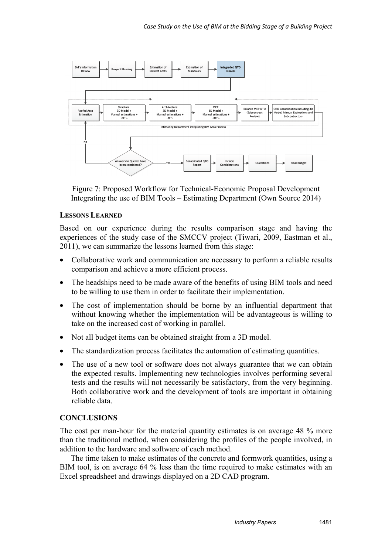

Figure 7: Proposed Workflow for Technical-Economic Proposal Development Integrating the use of BIM Tools – Estimating Department (Own Source 2014)

## **LESSONS LEARNED**

Based on our experience during the results comparison stage and having the experiences of the study case of the SMCCV project (Tiwari, 2009, Eastman et al., 2011), we can summarize the lessons learned from this stage:

- Collaborative work and communication are necessary to perform a reliable results comparison and achieve a more efficient process.
- The headships need to be made aware of the benefits of using BIM tools and need to be willing to use them in order to facilitate their implementation.
- The cost of implementation should be borne by an influential department that without knowing whether the implementation will be advantageous is willing to take on the increased cost of working in parallel.
- Not all budget items can be obtained straight from a 3D model.
- The standardization process facilitates the automation of estimating quantities.
- The use of a new tool or software does not always guarantee that we can obtain the expected results. Implementing new technologies involves performing several tests and the results will not necessarily be satisfactory, from the very beginning. Both collaborative work and the development of tools are important in obtaining reliable data.

# **CONCLUSIONS**

The cost per man-hour for the material quantity estimates is on average 48 % more than the traditional method, when considering the profiles of the people involved, in addition to the hardware and software of each method.

The time taken to make estimates of the concrete and formwork quantities, using a BIM tool, is on average 64 % less than the time required to make estimates with an Excel spreadsheet and drawings displayed on a 2D CAD program.